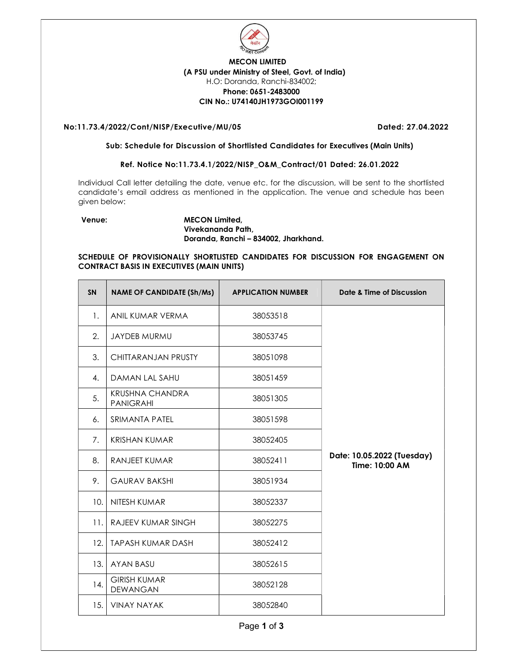

# MECON LIMITED (A PSU under Ministry of Steel, Govt. of India) H.O: Doranda, Ranchi-834002; Phone: 0651-2483000 CIN No.: U74140JH1973GOI001199

# No:11.73.4/2022/Cont/NISP/Executive/MU/05 Dated: 27.04.2022

#### Sub: Schedule for Discussion of Shortlisted Candidates for Executives (Main Units)

# Ref. Notice No:11.73.4.1/2022/NISP\_O&M\_Contract/01 Dated: 26.01.2022

Individual Call letter detailing the date, venue etc. for the discussion, will be sent to the shortlisted candidate's email address as mentioned in the application. The venue and schedule has been given below:

# Venue: MECON Limited, Vivekananda Path, Doranda, Ranchi – 834002, Jharkhand.

# SCHEDULE OF PROVISIONALLY SHORTLISTED CANDIDATES FOR DISCUSSION FOR ENGAGEMENT ON CONTRACT BASIS IN EXECUTIVES (MAIN UNITS)

| <b>SN</b> | <b>NAME OF CANDIDATE (Sh/Ms)</b>           | <b>APPLICATION NUMBER</b> | Date & Time of Discussion                    |
|-----------|--------------------------------------------|---------------------------|----------------------------------------------|
| 1.        | ANIL KUMAR VERMA                           | 38053518                  |                                              |
| 2.        | JAYDEB MURMU                               | 38053745                  |                                              |
| 3.        | CHITTARANJAN PRUSTY                        | 38051098                  |                                              |
| 4.        | DAMAN LAL SAHU                             | 38051459                  |                                              |
| 5.        | <b>KRUSHNA CHANDRA</b><br><b>PANIGRAHI</b> | 38051305                  |                                              |
| 6.        | <b>SRIMANTA PATEL</b>                      | 38051598                  |                                              |
| 7.        | <b>KRISHAN KUMAR</b>                       | 38052405                  |                                              |
| 8.        | RANJEET KUMAR                              | 38052411                  | Date: 10.05.2022 (Tuesday)<br>Time: 10:00 AM |
| 9.        | <b>GAURAV BAKSHI</b>                       | 38051934                  |                                              |
| 10.       | NITESH KUMAR                               | 38052337                  |                                              |
| 11.       | RAJEEV KUMAR SINGH                         | 38052275                  |                                              |
| 12.       | <b>TAPASH KUMAR DASH</b>                   | 38052412                  |                                              |
| 13.       | <b>AYAN BASU</b>                           | 38052615                  |                                              |
| 14.       | <b>GIRISH KUMAR</b><br><b>DEWANGAN</b>     | 38052128                  |                                              |
| 15.       | <b>VINAY NAYAK</b>                         | 38052840                  |                                              |

Page 1 of 3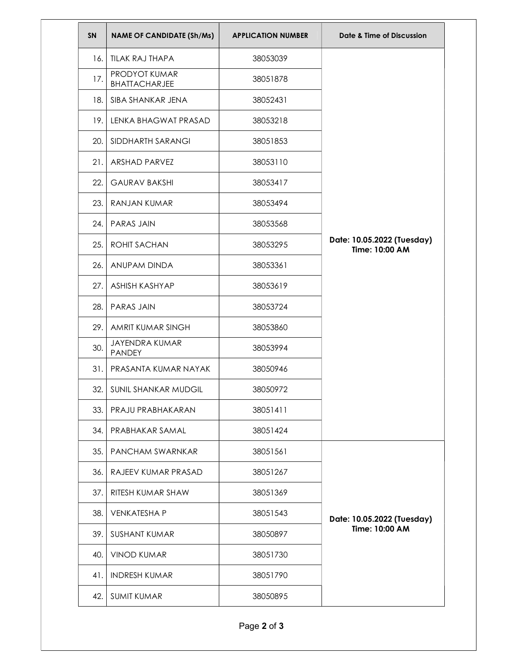| SN  | <b>NAME OF CANDIDATE (Sh/Ms)</b>      | <b>APPLICATION NUMBER</b> | Date & Time of Discussion                    |
|-----|---------------------------------------|---------------------------|----------------------------------------------|
| 16. | <b>TILAK RAJ THAPA</b>                | 38053039                  |                                              |
| 17. | PRODYOT KUMAR<br><b>BHATTACHARJEE</b> | 38051878                  |                                              |
| 18. | SIBA SHANKAR JENA                     | 38052431                  |                                              |
| 19. | LENKA BHAGWAT PRASAD                  | 38053218                  |                                              |
| 20. | SIDDHARTH SARANGI                     | 38051853                  |                                              |
| 21. | <b>ARSHAD PARVEZ</b>                  | 38053110                  |                                              |
| 22. | <b>GAURAV BAKSHI</b>                  | 38053417                  |                                              |
| 23. | RANJAN KUMAR                          | 38053494                  |                                              |
| 24. | PARAS JAIN                            | 38053568                  |                                              |
| 25. | <b>ROHIT SACHAN</b>                   | 38053295                  | Date: 10.05.2022 (Tuesday)<br>Time: 10:00 AM |
| 26. | ANUPAM DINDA                          | 38053361                  |                                              |
| 27. | ASHISH KASHYAP                        | 38053619                  |                                              |
| 28. | PARAS JAIN                            | 38053724                  |                                              |
| 29. | AMRIT KUMAR SINGH                     | 38053860                  |                                              |
| 30. | JAYENDRA KUMAR<br>PANDEY              | 38053994                  |                                              |
| 31. | PRASANTA KUMAR NAYAK                  | 38050946                  |                                              |
| 32. | SUNIL SHANKAR MUDGIL                  | 38050972                  |                                              |
| 33. | PRAJU PRABHAKARAN                     | 38051411                  |                                              |
| 34. | PRABHAKAR SAMAL                       | 38051424                  |                                              |
| 35. | PANCHAM SWARNKAR                      | 38051561                  |                                              |
| 36. | RAJEEV KUMAR PRASAD                   | 38051267                  |                                              |
| 37. | RITESH KUMAR SHAW                     | 38051369                  |                                              |
| 38. | <b>VENKATESHAP</b>                    | 38051543                  | Date: 10.05.2022 (Tuesday)                   |
| 39. | <b>SUSHANT KUMAR</b>                  | 38050897                  | Time: 10:00 AM                               |
| 40. | <b>VINOD KUMAR</b>                    | 38051730                  |                                              |
| 41. | <b>INDRESH KUMAR</b>                  | 38051790                  |                                              |
| 42. | <b>SUMIT KUMAR</b>                    | 38050895                  |                                              |